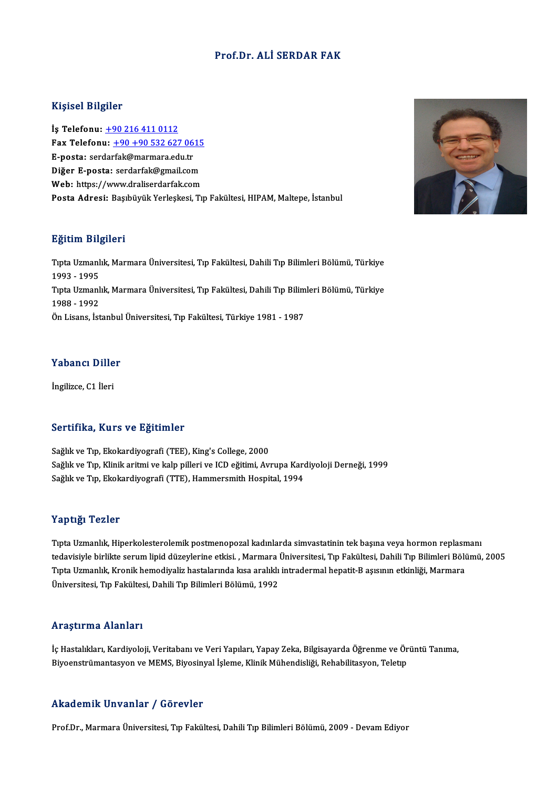#### Prof.Dr. ALİ SERDAR FAK

#### Kişisel Bilgiler

İş Telefonu: +90 216 411 0112 11.9.001 21.9.101<br>İş Telefonu: <u>+90 216 411 0112</u><br>Fax Telefonu: <u>+90 +90 532 627 0615</u><br>F nosta: serderfek@marmers.edu.tr İş Telefonu: <u>+90 216 411 0112</u><br>Fax Telefonu: <u>+90 +90 532 627 06</u><br>E-posta: ser[dar](tel:+90 216 411 0112)[fak@marmara.edu.tr](tel:+90 +90 532 627 0615)<br>Dižer E posta: serdarfak@rmail.com Fax Telefonu: <u>+90 +90 532 627 0615</u><br>E-posta: serdarfak@marmara.edu.tr<br>Diğer E-posta: serdarfak@gmail.com<br>Web: bttps://www.draliserdarfak.com E-posta: serdarfak@marmara.edu.tr<br>Diğer E-posta: serdarfak@gmail.com<br>Web: https://www.draliserdarfak.com Posta Adresi: Başıbüyük Yerleşkesi, Tıp Fakültesi, HIPAM, Maltepe, İstanbul

#### Eğitim Bilgileri

**Eğitim Bilgileri**<br>Tıpta Uzmanlık, Marmara Üniversitesi, Tıp Fakültesi, Dahili Tıp Bilimleri Bölümü, Türkiye<br>1993 - 1995 1993 - 1995<br>1993 - 1995<br>Tuta Urmanl Tıpta Uzmanlık, Marmara Üniversitesi, Tıp Fakültesi, Dahili Tıp Bilimleri Bölümü, Türkiye<br>1993 - 1995<br>Tıpta Uzmanlık, Marmara Üniversitesi, Tıp Fakültesi, Dahili Tıp Bilimleri Bölümü, Türkiye<br>1999 - 1992 1993 - 1995<br>Tıpta Uzmanl<br>1988 - 1992<br>Ön Lisans, İst Tıpta Uzmanlık, Marmara Üniversitesi, Tıp Fakültesi, Dahili Tıp Bilim<br>1988 - 1992<br>Ön Lisans, İstanbul Üniversitesi, Tıp Fakültesi, Türkiye 1981 - 1987

## .<br>Yabancı Diller Y<mark>abancı Dille</mark><br>İngilizce, C1 İleri

# İngilizce, C1 İleri<br>Sertifika, Kurs ve Eğitimler

Sağlık ve Tıp, Ekokardiyografi (TEE), King's College, 2000 Sağlık ve Tıp, Klinik aritmi ve kalp pilleri ve ICD eğitimi, Avrupa Kardiyoloji Derneği, 1999 Sağlık ve Tıp, Ekokardiyografi (TTE), Hammersmith Hospital, 1994

#### Yaptığı Tezler

Tıpta Uzmanlık, Hiperkolesterolemik postmenopozal kadınlarda simvastatinin tek başına veya hormon replasmanı 1 up uga 1 czier<br>Tipta Uzmanlık, Hiperkolesterolemik postmenopozal kadınlarda simvastatinin tek başına veya hormon replasmanı<br>Tipta Uzmanlık, Kranik hamadiyelir bastalarında kısa aralıklı intradarmal banatit. B.aygının etk Tıpta Uzmanlık, Hiperkolesterolemik postmenopozal kadınlarda simvastatinin tek başına veya hormon replasn<br>tedavisiyle birlikte serum lipid düzeylerine etkisi. , Marmara Üniversitesi, Tıp Fakültesi, Dahili Tıp Bilimleri Böl tedavisiyle birlikte serum lipid düzeylerine etkisi. , Marmara l<br>Tıpta Uzmanlık, Kronik hemodiyaliz hastalarında kısa aralıklı<br>Üniversitesi, Tıp Fakültesi, Dahili Tıp Bilimleri Bölümü, 1992 Üniversitesi, Tıp Fakültesi, Dahili Tıp Bilimleri Bölümü, 1992<br>Araştırma Alanları

**Araştırma Alanları**<br>İç Hastalıkları, Kardiyoloji, Veritabanı ve Veri Yapıları, Yapay Zeka, Bilgisayarda Öğrenme ve Örüntü Tanıma,<br>Pivoonstrümantasyan ve MEMS, Biyosinyal İslama, Klinik Mühandisliği, Bababilitasyan, Talatı 111 ayan ma 111annarı<br>İç Hastalıkları, Kardiyoloji, Veritabanı ve Veri Yapıları, Yapay Zeka, Bilgisayarda Öğrenme ve Ör<br>Biyoenstrümantasyon ve MEMS, Biyosinyal İşleme, Klinik Mühendisliği, Rehabilitasyon, Teletıp Biyoenstrümantasyon ve MEMS, Biyosinyal İşleme, Klinik Mühendisliği, Rehabilitasyon, Teletip<br>Akademik Unvanlar / Görevler

Prof.Dr., Marmara Üniversitesi, Tıp Fakültesi, Dahili Tıp Bilimleri Bölümü, 2009 - Devam Ediyor

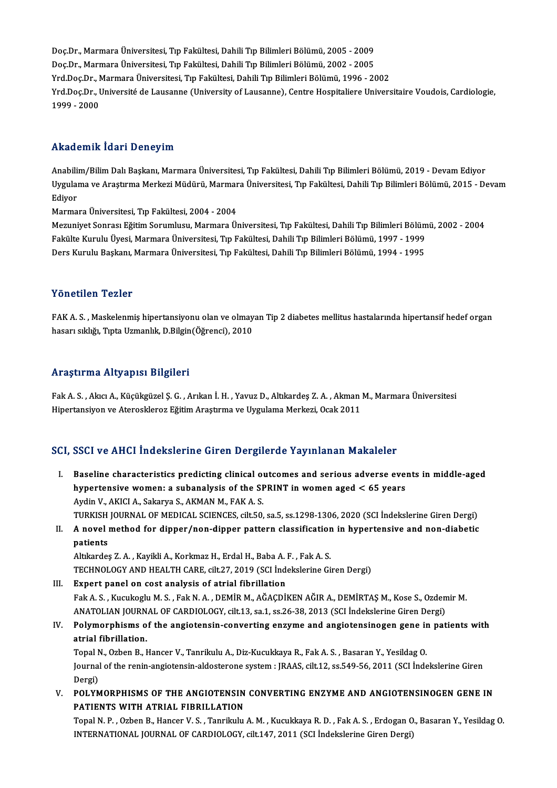Doç.Dr., Marmara Üniversitesi, Tıp Fakültesi, Dahili Tıp Bilimleri Bölümü, 2005 - 2009 Doç.Dr., Marmara Üniversitesi, Tıp Fakültesi, Dahili Tıp Bilimleri Bölümü, 2005 - 2009<br>Doç.Dr., Marmara Üniversitesi, Tıp Fakültesi, Dahili Tıp Bilimleri Bölümü, 2002 - 2005<br>Yrd Doc.Dr., Marmara Üniversitesi, Tıp Fakültesi Doç.Dr., Marmara Üniversitesi, Tıp Fakültesi, Dahili Tıp Bilimleri Bölümü, 2005 - 2009<br>Doç.Dr., Marmara Üniversitesi, Tıp Fakültesi, Dahili Tıp Bilimleri Bölümü, 2002 - 2005<br>Yrd.Doç.Dr., Marmara Üniversitesi, Tıp Fakültesi Yrd.Doç.Dr., Université de Lausanne (University of Lausanne), Centre Hospitaliere Universitaire Voudois, Cardiologie,<br>1999 - 2000 Yrd.Doc.Dr., Marmara Üniversitesi, Tıp Fakültesi, Dahili Tıp Bilimleri Bölümü, 1996 - 2002

### Akademik İdari Deneyim

Anabilim/Bilim Dalı Başkanı, Marmara Üniversitesi, Tıp Fakültesi, Dahili Tıp Bilimleri Bölümü, 2019 - Devam Ediyor TIRUGETINI TUGIT DENEYTIR<br>Anabilim/Bilim Dalı Başkanı, Marmara Üniversitesi, Tıp Fakültesi, Dahili Tıp Bilimleri Bölümü, 2019 - Devam Ediyor<br>Uygulama ve Araştırma Merkezi Müdürü, Marmara Üniversitesi, Tıp Fakültesi, Dahili Anabili<br>Uygulai<br>Ediyor<br>Marma Uygulama ve Araştırma Merkezi Müdürü, Marmar<br>Ediyor<br>Marmara Üniversitesi, Tıp Fakültesi, 2004 - 2004<br>Marmara Üniversitesi, Tıp Fakültesi, 2004 - 2004

Ediyor<br>Marmara Üniversitesi, Tıp Fakültesi, 2004 - 2004<br>Mezuniyet Sonrası Eğitim Sorumlusu, Marmara Üniversitesi, Tıp Fakültesi, Dahili Tıp Bilimleri Bölümü, 2002 - 2004<br>Fakülte Kunulu Üvesi, Marmara Üniversitesi, Tıp Fakü Marmara Üniversitesi, Tıp Fakültesi, 2004 - 2004<br>Mezuniyet Sonrası Eğitim Sorumlusu, Marmara Üniversitesi, Tıp Fakültesi, Dahili Tıp Bilimleri Bölüm<br>Fakülte Kurulu Üyesi, Marmara Üniversitesi, Tıp Fakültesi, Dahili Tıp Bil Fakülte Kurulu Üyesi, Marmara Üniversitesi, Tıp Fakültesi, Dahili Tıp Bilimleri Bölümü, 1997 - 1999<br>Ders Kurulu Başkanı, Marmara Üniversitesi, Tıp Fakültesi, Dahili Tıp Bilimleri Bölümü, 1994 - 1995

### Yönetilen Tezler

FAK A.S., Maskelenmiş hipertansiyonu olan ve olmayan Tip 2 diabetes mellitus hastalarında hipertansif hedef organ hasarı sıklığı, Tıpta Uzmanlık, D.Bilgin(Öğrenci), 2010

#### Araştırma Altyapısı Bilgileri

Araştırma Altyapısı Bilgileri<br>Fak A.S. , Akıcı A., Küçükgüzel Ş. G. , Arıkan İ. H. , Yavuz D., Altıkardeş Z. A. , Akman M., Marmara Üniversitesi<br>Hinertansiyen ve Ateresklenez Eğitim Arastırma ve Uygulama Markari Osek 3011 111 ayen ina 1115 ap ist Birgirosk<br>Fak A. S. , Akıcı A., Küçükgüzel Ş. G. , Arıkan İ. H. , Yavuz D., Altıkardeş Z. A. , Akman<br>Hipertansiyon ve Ateroskleroz Eğitim Araştırma ve Uygulama Merkezi, Ocak 2011

# Hipertansiyon ve Ateroskleroz Eğitim Araştırma ve Uygulama Merkezi, Ocak 2011<br>SCI, SSCI ve AHCI İndekslerine Giren Dergilerde Yayınlanan Makaleler

- CI, SSCI ve AHCI Indekslerine Giren Dergilerde Yayınlanan Makaleler<br>I. Baseline characteristics predicting clinical outcomes and serious adverse events in middle-aged<br>hypertensiye wemen: a subanalysis of the SPPINT in wem Baseline characteristics predicting clinical outcomes and serious adverse even<br>hypertensive women: a subanalysis of the SPRINT in women aged  $<$  65 years<br>Avdin V, AVICLA, Sakarya S, AVMAN M, FAV A, S hypertensive women: a subanalysis of the SPRINT in women aged  $< 65$  years Aydin V., AKICI A., Sakarya S., AKMAN M., FAK A. S. hypertensive women: a subanalysis of the SPRINT in women aged < 65 years<br>Aydin V., AKICI A., Sakarya S., AKMAN M., FAK A. S.<br>TURKISH JOURNAL OF MEDICAL SCIENCES, cilt.50, sa.5, ss.1298-1306, 2020 (SCI İndekslerine Giren De Aydin V., AKICI A., Sakarya S., AKMAN M., FAK A. S.<br>TURKISH JOURNAL OF MEDICAL SCIENCES, cilt.50, sa.5, ss.1298-1306, 2020 (SCI İndekslerine Giren Dergi)<br>II. A novel method for dipper/non-dipper pattern classification
- TURKISH<br>**A** novel<br>patients<br>Altkordes A novel method for dipper/non-dipper pattern classification<br>patients<br>Altıkardeş Z.A. , Kayikli A., Korkmaz H., Erdal H., Baba A. F. , Fak A. S.<br>TECHNOLOCY AND HEALTH CAPE. silt 27, 2019 (SSL Indekslerine Gi

patients<br>Altıkardeş Z. A. , Kayikli A., Korkmaz H., Erdal H., Baba A. F. , Fak A. S.<br>TECHNOLOGY AND HEALTH CARE, cilt.27, 2019 (SCI İndekslerine Giren Dergi)

### III. Expert panel on cost analysis of atrial fibrillation TECHNOLOGY AND HEALTH CARE, cilt.27, 2019 (SCI İndekslerine Giren Dergi)<br>Expert panel on cost analysis of atrial fibrillation<br>Fak A. S. , Kucukoglu M. S. , Fak N. A. , DEMİR M., AĞAÇDİKEN AĞIR A., DEMİRTAŞ M., Kose S., Ozd Expert panel on cost analysis of atrial fibrillation<br>Fak A. S. , Kucukoglu M. S. , Fak N. A. , DEMİR M., AĞAÇDİKEN AĞIR A., DEMİRTAŞ M., Kose S., Ozden<br>ANATOLIAN JOURNAL OF CARDIOLOGY, cilt.13, sa.1, ss.26-38, 2013 (SCI İn ANATOLIAN JOURNAL OF CARDIOLOGY, cilt.13, sa.1, ss.26-38, 2013 (SCI Indekslerine Giren Dergi)

IV. Polymorphisms of the angiotensin-converting enzyme and angiotensinogen gene in patients with Polymorphisms of the angiotensin-converting enzyme and angiotensinogen gene in<br>atrial fibrillation.<br>Topal N., Ozben B., Hancer V., Tanrikulu A., Diz-Kucukkaya R., Fak A. S. , Basaran Y., Yesildag O.<br>Journal of the ronin an

atrial fibrillation.<br>Topal N., Ozben B., Hancer V., Tanrikulu A., Diz-Kucukkaya R., Fak A. S. , Basaran Y., Yesildag O.<br>Journal of the renin-angiotensin-aldosterone system : JRAAS, cilt.12, ss.549-56, 2011 (SCI İndekslerin Topal N<br>Journal<br>Dergi)<br>POLYN Journal of the renin-angiotensin-aldosterone system : JRAAS, cilt.12, ss.549-56, 2011 (SCI İndekslerine Giren<br>Dergi)<br>V. POLYMORPHISMS OF THE ANGIOTENSIN CONVERTING ENZYME AND ANGIOTENSINOGEN GENE IN

Dergi)<br>V. POLYMORPHISMS OF THE ANGIOTENSIN CONVERTING ENZYME AND ANGIOTENSINOGEN GENE IN<br>PATIENTS WITH ATRIAL FIBRILLATION POLYMORPHISMS OF THE ANGIOTENSIN CONVERTING ENZYME AND ANGIOTENSINOGEN GENE IN<br>PATIENTS WITH ATRIAL FIBRILLATION<br>Topal N.P., Ozben B., Hancer V.S., Tanrikulu A.M., Kucukkaya R.D., Fak A.S., Erdogan O., Basaran Y., Yesildag

PATIENTS WITH ATRIAL FIBRILLATION<br>Topal N. P. , Ozben B., Hancer V. S. , Tanrikulu A. M. , Kucukkaya R. D. , Fak A. S. , Erdogan O<br>INTERNATIONAL JOURNAL OF CARDIOLOGY, cilt.147, 2011 (SCI İndekslerine Giren Dergi)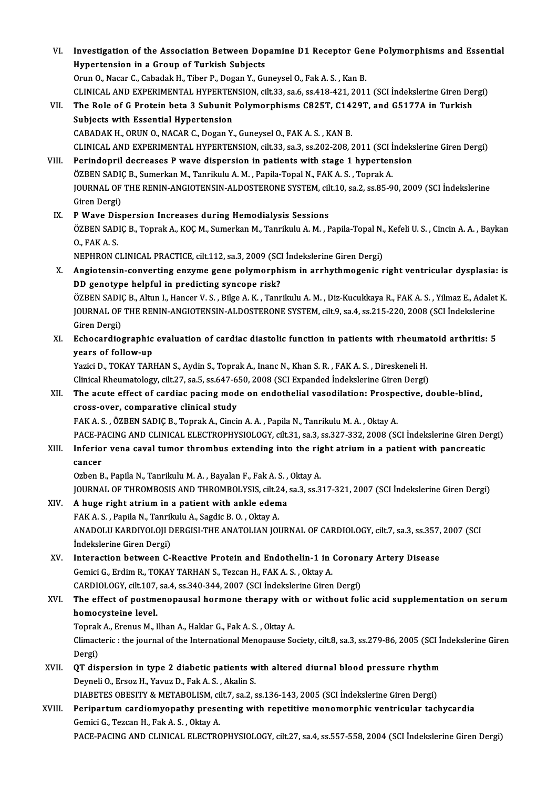| VI.    | Investigation of the Association Between Dopamine D1 Receptor Gene Polymorphisms and Essential                          |
|--------|-------------------------------------------------------------------------------------------------------------------------|
|        | Hypertension in a Group of Turkish Subjects                                                                             |
|        | Orun O., Nacar C., Cabadak H., Tiber P., Dogan Y., Guneysel O., Fak A. S., Kan B.                                       |
|        | CLINICAL AND EXPERIMENTAL HYPERTENSION, cilt.33, sa.6, ss.418-421, 2011 (SCI İndekslerine Giren Dergi)                  |
| VII.   | The Role of G Protein beta 3 Subunit Polymorphisms C825T, C1429T, and G5177A in Turkish                                 |
|        | Subjects with Essential Hypertension                                                                                    |
|        | CABADAK H., ORUN O., NACAR C., Dogan Y., Guneysel O., FAK A. S., KAN B.                                                 |
|        | CLINICAL AND EXPERIMENTAL HYPERTENSION, cilt.33, sa.3, ss.202-208, 2011 (SCI İndekslerine Giren Dergi)                  |
| VIII.  | Perindopril decreases P wave dispersion in patients with stage 1 hypertension                                           |
|        | ÖZBEN SADIÇ B., Sumerkan M., Tanrikulu A. M., Papila-Topal N., FAK A. S., Toprak A.                                     |
|        | JOURNAL OF THE RENIN-ANGIOTENSIN-ALDOSTERONE SYSTEM, cilt.10, sa.2, ss.85-90, 2009 (SCI İndekslerine                    |
|        | Giren Dergi)                                                                                                            |
| IX.    | P Wave Dispersion Increases during Hemodialysis Sessions                                                                |
|        | ÖZBEN SADIÇ B., Toprak A., KOÇ M., Sumerkan M., Tanrikulu A. M., Papila-Topal N., Kefeli U. S., Cincin A. A., Baykan    |
|        | O, FAK A.S.                                                                                                             |
|        | NEPHRON CLINICAL PRACTICE, cilt.112, sa.3, 2009 (SCI İndekslerine Giren Dergi)                                          |
| Х.     | Angiotensin-converting enzyme gene polymorphism in arrhythmogenic right ventricular dysplasia: is                       |
|        | DD genotype helpful in predicting syncope risk?                                                                         |
|        | ÖZBEN SADIÇ B., Altun I., Hancer V. S., Bilge A. K., Tanrikulu A. M., Diz-Kucukkaya R., FAK A. S., Yilmaz E., Adalet K. |
|        | JOURNAL OF THE RENIN-ANGIOTENSIN-ALDOSTERONE SYSTEM, cilt.9, sa.4, ss.215-220, 2008 (SCI Indekslerine                   |
|        | Giren Dergi)                                                                                                            |
| XI.    | Echocardiographic evaluation of cardiac diastolic function in patients with rheumatoid arthritis: 5                     |
|        | years of follow-up                                                                                                      |
|        | Yazici D., TOKAY TARHAN S., Aydin S., Toprak A., Inanc N., Khan S. R., FAK A. S., Direskeneli H.                        |
|        | Clinical Rheumatology, cilt.27, sa.5, ss.647-650, 2008 (SCI Expanded İndekslerine Giren Dergi)                          |
| XII.   | The acute effect of cardiac pacing mode on endothelial vasodilation: Prospective, double-blind,                         |
|        | cross-over, comparative clinical study                                                                                  |
|        | FAK A. S., ÖZBEN SADIÇ B., Toprak A., Cincin A. A., Papila N., Tanrikulu M. A., Oktay A.                                |
|        | PACE-PACING AND CLINICAL ELECTROPHYSIOLOGY, cilt.31, sa.3, ss.327-332, 2008 (SCI İndekslerine Giren Dergi)              |
| XIII.  | Inferior vena caval tumor thrombus extending into the right atrium in a patient with pancreatic                         |
|        | cancer                                                                                                                  |
|        | Ozben B., Papila N., Tanrikulu M. A., Bayalan F., Fak A. S., Oktay A.                                                   |
|        | JOURNAL OF THROMBOSIS AND THROMBOLYSIS, cilt.24, sa.3, ss.317-321, 2007 (SCI İndekslerine Giren Dergi)                  |
| XIV.   | A huge right atrium in a patient with ankle edema                                                                       |
|        | FAK A. S., Papila N., Tanrikulu A., Sagdic B. O., Oktay A.                                                              |
|        | ANADOLU KARDIYOLOJI DERGISI-THE ANATOLIAN JOURNAL OF CARDIOLOGY, cilt.7, sa.3, ss.357, 2007 (SCI                        |
|        | İndekslerine Giren Dergi)                                                                                               |
| XV.    | Interaction between C-Reactive Protein and Endothelin-1 in Coronary Artery Disease                                      |
|        | Gemici G., Erdim R., TOKAY TARHAN S., Tezcan H., FAK A. S., Oktay A.                                                    |
|        | CARDIOLOGY, cilt.107, sa.4, ss.340-344, 2007 (SCI İndekslerine Giren Dergi)                                             |
| XVI.   | The effect of postmenopausal hormone therapy with or without folic acid supplementation on serum                        |
|        | homocysteine level.                                                                                                     |
|        | Toprak A., Erenus M., Ilhan A., Haklar G., Fak A. S., Oktay A.                                                          |
|        | Climacteric : the journal of the International Menopause Society, cilt.8, sa.3, ss.279-86, 2005 (SCI İndekslerine Giren |
|        | Dergi)                                                                                                                  |
| XVII.  | QT dispersion in type 2 diabetic patients with altered diurnal blood pressure rhythm                                    |
|        | Deyneli O., Ersoz H., Yavuz D., Fak A. S., Akalin S.                                                                    |
|        | DIABETES OBESITY & METABOLISM, cilt.7, sa.2, ss.136-143, 2005 (SCI İndekslerine Giren Dergi)                            |
| XVIII. | Peripartum cardiomyopathy presenting with repetitive monomorphic ventricular tachycardia                                |
|        | Gemici G., Tezcan H., Fak A. S., Oktay A.                                                                               |
|        | PACE-PACING AND CLINICAL ELECTROPHYSIOLOGY, cilt.27, sa.4, ss.557-558, 2004 (SCI İndekslerine Giren Dergi)              |
|        |                                                                                                                         |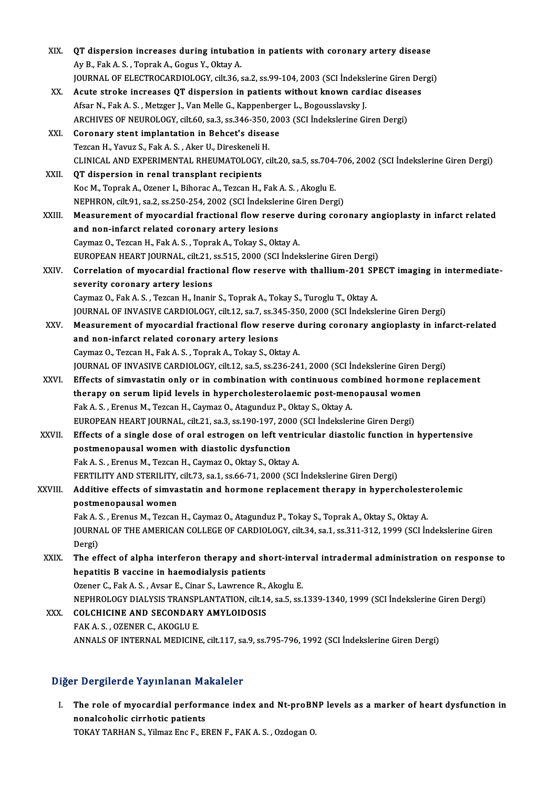| XIX.    | QT dispersion increases during intubation in patients with coronary artery disease                     |
|---------|--------------------------------------------------------------------------------------------------------|
|         | Ay B., Fak A. S., Toprak A., Gogus Y., Oktay A.                                                        |
|         | JOURNAL OF ELECTROCARDIOLOGY, cilt.36, sa.2, ss.99-104, 2003 (SCI Indekslerine Giren Dergi)            |
| XX.     | Acute stroke increases QT dispersion in patients without known cardiac diseases                        |
|         | Afsar N., Fak A. S., Metzger J., Van Melle G., Kappenberger L., Bogousslavsky J.                       |
|         | ARCHIVES OF NEUROLOGY, cilt.60, sa.3, ss.346-350, 2003 (SCI Indekslerine Giren Dergi)                  |
| XXI.    | Coronary stent implantation in Behcet's disease                                                        |
|         | Tezcan H., Yavuz S., Fak A. S., Aker U., Direskeneli H.                                                |
|         | CLINICAL AND EXPERIMENTAL RHEUMATOLOGY, cilt.20, sa.5, ss.704-706, 2002 (SCI İndekslerine Giren Dergi) |
| XXII.   | QT dispersion in renal transplant recipients                                                           |
|         | Koc M., Toprak A., Ozener I., Bihorac A., Tezcan H., Fak A. S., Akoglu E.                              |
|         | NEPHRON, cilt.91, sa.2, ss.250-254, 2002 (SCI İndekslerine Giren Dergi)                                |
| XXIII.  | Measurement of myocardial fractional flow reserve during coronary angioplasty in infarct related       |
|         | and non-infarct related coronary artery lesions                                                        |
|         | Caymaz O., Tezcan H., Fak A. S., Toprak A., Tokay S., Oktay A.                                         |
|         | EUROPEAN HEART JOURNAL, cilt.21, ss.515, 2000 (SCI Indekslerine Giren Dergi)                           |
| XXIV.   | Correlation of myocardial fractional flow reserve with thallium-201 SPECT imaging in intermediate-     |
|         | severity coronary artery lesions                                                                       |
|         | Caymaz O., Fak A. S., Tezcan H., Inanir S., Toprak A., Tokay S., Turoglu T., Oktay A.                  |
|         | JOURNAL OF INVASIVE CARDIOLOGY, cilt.12, sa.7, ss.345-350, 2000 (SCI Indekslerine Giren Dergi)         |
| XXV.    | Measurement of myocardial fractional flow reserve during coronary angioplasty in infarct-related       |
|         | and non-infarct related coronary artery lesions                                                        |
|         | Caymaz O., Tezcan H., Fak A. S., Toprak A., Tokay S., Oktay A.                                         |
|         | JOURNAL OF INVASIVE CARDIOLOGY, cilt.12, sa.5, ss.236-241, 2000 (SCI İndekslerine Giren Dergi)         |
| XXVI.   | Effects of simvastatin only or in combination with continuous combined hormone replacement             |
|         | therapy on serum lipid levels in hypercholesterolaemic post-menopausal women                           |
|         | Fak A. S., Erenus M., Tezcan H., Caymaz O., Atagunduz P., Oktay S., Oktay A.                           |
|         | EUROPEAN HEART JOURNAL, cilt.21, sa.3, ss.190-197, 2000 (SCI İndekslerine Giren Dergi)                 |
| XXVII.  | Effects of a single dose of oral estrogen on left ventricular diastolic function in hypertensive       |
|         | postmenopausal women with diastolic dysfunction                                                        |
|         | Fak A. S., Erenus M., Tezcan H., Caymaz O., Oktay S., Oktay A.                                         |
|         | FERTILITY AND STERILITY, cilt.73, sa.1, ss.66-71, 2000 (SCI İndekslerine Giren Dergi)                  |
| XXVIII. | Additive effects of simvastatin and hormone replacement therapy in hypercholesterolemic                |
|         | postmenopausal women                                                                                   |
|         | Fak A. S., Erenus M., Tezcan H., Caymaz O., Atagunduz P., Tokay S., Toprak A., Oktay S., Oktay A.      |
|         | JOURNAL OF THE AMERICAN COLLEGE OF CARDIOLOGY, cilt.34, sa.1, ss.311-312, 1999 (SCI Indekslerine Giren |
|         | Dergi)                                                                                                 |
| XXIX.   | The effect of alpha interferon therapy and short-interval intradermal administration on response to    |
|         | hepatitis B vaccine in haemodialysis patients                                                          |
|         | Ozener C., Fak A. S., Avsar E., Cinar S., Lawrence R., Akoglu E.                                       |
|         | NEPHROLOGY DIALYSIS TRANSPLANTATION, cilt.14, sa.5, ss.1339-1340, 1999 (SCI İndekslerine Giren Dergi)  |
| XXX.    | <b>COLCHICINE AND SECONDARY AMYLOIDOSIS</b>                                                            |
|         | FAK A S , OZENER C , AKOGLU E                                                                          |
|         | ANNALS OF INTERNAL MEDICINE, cilt.117, sa.9, ss.795-796, 1992 (SCI İndekslerine Giren Dergi)           |

### Diğer Dergilerde Yayınlanan Makaleler

Iger Dergilerde Yayınlanan Makaleler<br>I. The role of myocardial performance index and Nt-proBNP levels as a marker of heart dysfunction in<br>Repeated bis simbotic patients n Bergherde ruy iniunum Fre<br>The role of myocardial perform<br>nonalcoholic cirrhotic patients<br>TOKAV TABHAN S. Vilmar Fre F. Fl The role of myocardial performance index and Nt-proBN<br>nonalcoholic cirrhotic patients<br>TOKAY TARHAN S., Yilmaz Enc F., EREN F., FAK A. S. , Ozdogan O.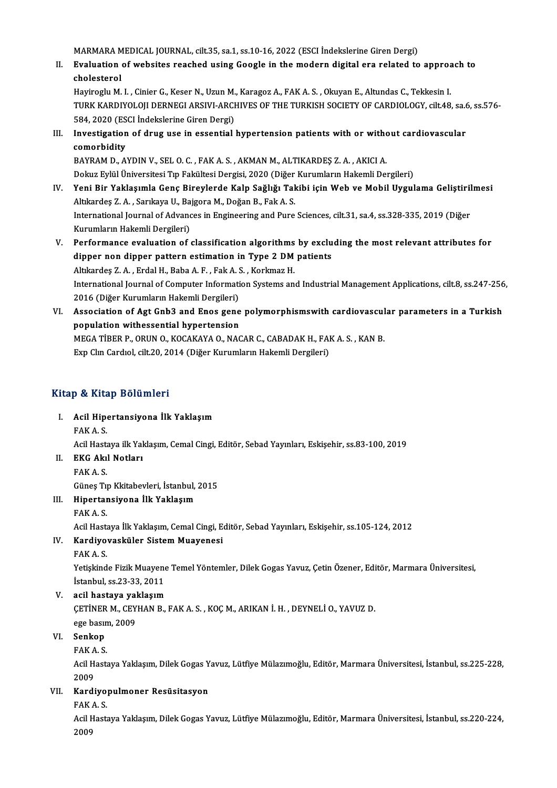MARMARA MEDICAL JOURNAL, cilt.35, sa.1, ss.10-16, 2022 (ESCI İndekslerine Giren Dergi)<br>Evaluation of websites reashed using Coogle in the modern digital era related to

II. Evaluation of websites reached using Google in the modern digital era related to approach to cholesterol MARMARA M<br>Evaluation<br>cholesterol<br>Havinagh: M Evaluation of websites reached using Google in the modern digital era related to approacholesterol<br>cholesterol<br>Hayiroglu M. I. , Cinier G., Keser N., Uzun M., Karagoz A., FAK A. S. , Okuyan E., Altundas C., Tekkesin I.<br>TUR

TURK KARDIYOLOJI DERNEGI ARSIVI-ARCHIVES OF THE TURKISH SOCIETY OF CARDIOLOGY, cilt.48, sa.6, ss.576-<br>584, 2020 (ESCI İndekslerine Giren Dergi) Hayiroglu M. I. , Cinier G., Keser N., Uzun M.<br>TURK KARDIYOLOJI DERNEGI ARSIVI-ARCI<br>584, 2020 (ESCI İndekslerine Giren Dergi)<br>Investigation of drug use in essential TURK KARDIYOLOJI DERNEGI ARSIVI-ARCHIVES OF THE TURKISH SOCIETY OF CARDIOLOGY, cilt.48, sa.6<br>584, 2020 (ESCI İndekslerine Giren Dergi)<br>III. Investigation of drug use in essential hypertension patients with or without cardi

584, 2020 (ES<br>Investigation<br>comorbidity<br>PAVPAM D. A Investigation of drug use in essential hypertension patients with or with<br>comorbidity<br>BAYRAM D., AYDIN V., SEL O. C. , FAK A. S. , AKMAN M., ALTIKARDEŞ Z. A. , AKICI A.<br>Dokuz Evlül Üniversitesi Tın Fakültesi Dergisi 2020 (

comorbidity<br>BAYRAM D., AYDIN V., SEL O. C. , FAK A. S. , AKMAN M., ALTIKARDEŞ Z. A. , AKICI A.<br>Dokuz Eylül Üniversitesi Tıp Fakültesi Dergisi, 2020 (Diğer Kurumların Hakemli Dergileri)<br>Yoni Bir Yaklasımla Gons Biraylarda K

- BAYRAM D., AYDIN V., SEL O. C. , FAK A. S. , AKMAN M., ALTIKARDEŞ Z. A. , AKICI A.<br>Dokuz Eylül Üniversitesi Tıp Fakültesi Dergisi, 2020 (Diğer Kurumların Hakemli Dergileri)<br>IV. Yeni Bir Yaklaşımla Genç Bireylerde Kalp Sağl Dokuz Eylül Üniversitesi Tıp Fakültesi Dergisi, 2020 (Diğer<br>Yeni Bir Yaklaşımla Genç Bireylerde Kalp Sağlığı Tal<br>Altıkardeş Z. A. , Sarıkaya U., Bajgora M., Doğan B., Fak A. S.<br>International Journal of Advances in Engineer Yeni Bir Yaklaşımla Genç Bireylerde Kalp Sağlığı Takibi için Web ve Mobil Uygulama Geliştiril<br>Altıkardeş Z. A. , Sarıkaya U., Bajgora M., Doğan B., Fak A. S.<br>International Journal of Advances in Engineering and Pure Scienc Altıkardeş Z. A. , Sarıkaya U., Bajgora M., Doğan B., Fak A. S.<br>International Journal of Advances in Engineering and Pure Sciences, cilt.31, sa.4, ss.328-335, 2019 (Diğer<br>Kurumların Hakemli Dergileri) International Journal of Advances in Engineering and Pure Sciences, cilt.31, sa.4, ss.328-335, 2019 (Diğer<br>Kurumların Hakemli Dergileri)<br>V. Performance evaluation of classification algorithms by excluding the most relevant
- Kurumların Hakemli Dergileri)<br>Performance evaluation of classification algorithms by exclu<br>dipper non dipper pattern estimation in Type 2 DM patients<br>Altliandes 7 A. Endel H. Boba A.E. Esk A.S. Korlmer H. Performance evaluation of classification algorithms<br>dipper non dipper pattern estimation in Type 2 DM<br>Altıkardeş Z.A., Erdal H., Baba A.F., Fak A.S., Korkmaz H.<br>International Journal of Computer Information Systems on dipper non dipper pattern estimation in Type 2 DM patients<br>Altıkardeş Z. A. , Erdal H., Baba A. F. , Fak A. S. , Korkmaz H.<br>International Journal of Computer Information Systems and Industrial Management Applications, cilt Altıkardeş Z.A., Erdal H., Baba A.F., Fak A.S., Korkmaz H. International Journal of Computer Information Systems and Industrial Management Applications, cilt.8, ss.247-256<br>2016 (Diğer Kurumların Hakemli Dergileri)<br>VI. Association of Agt Gnb3 and Enos gene polymorphismswith cardiov
- 2016 (Diğer Kurumların Hakemli Dergileri)<br>Association of Agt Gnb3 and Enos gene<br>population withessential hypertension<br>MECA TIPEP P. OPIJN O. KOCAKAYA O. NAC Association of Agt Gnb3 and Enos gene polymorphismswith cardiovascul<br>population withessential hypertension<br>MEGA TIBER P., ORUN O., KOCAKAYA O., NACAR C., CABADAK H., FAK A. S. , KAN B.<br>Eyn Clu Cardiol. silt 20, 2014 (Dižer population withessential hypertension<br>MEGA TİBER P., ORUN O., KOCAKAYA O., NACAR C., CABADAK H., FAK A. S. , KAN B.<br>Exp Clın Cardıol, cilt.20, 2014 (Diğer Kurumların Hakemli Dergileri)

### Kitap & Kitap Bölümleri

itap & Kitap Bölümleri<br>I. Acil Hipertansiyona İlk Yaklaşım<br>FAKA S Acil Hipe<br>Acil Hipe<br>FAK A. S. Acil Hipertansiyona İlk Yaklaşım<br>FAK A. S.<br>Acil Hastaya ilk Yaklaşım, Cemal Cingi, Editör, Sebad Yayınları, Eskişehir, ss.83-100, 2019<br>EKC Alrıl Natları FAK A. S.<br>Acil Hastaya ilk Yal<br>II. **EKG Akıl Notları**<br>FAK A. S.

Acil Hasta<br>**EKG Ak**ıl<br>FAK A. S.<br>Günes Tu

GüneşTıpKkitabevleri, İstanbul,2015

III. Hipertansiyona İlk Yaklaşım FAKA.S.

Hipertansiyona İlk Yaklaşım<br>FAK A. S.<br>Acil Hastaya İlk Yaklaşım, Cemal Cingi, Editör, Sebad Yayınları, Eskişehir, ss.105-124, 2012<br>Kardiyovasküler Sistem Muayenesi Acil Hasta<br><mark>Kardiyo</mark><br>FAK A. S.<br>Vetiskind

## IV. Kardiyovasküler Sistem Muayenesi<br>FAK A. S.

Kardiyovasküler Sistem Muayenesi<br>FAK A. S.<br>Yetişkinde Fizik Muayene Temel Yöntemler, Dilek Gogas Yavuz, Çetin Özener, Editör, Marmara Üniversitesi, FAK A. S.<br>Yetişkinde Fizik Muayene<br>İstanbul, ss.23-33, 2011<br>20il bastava yaklasım Yetişkinde Fizik Muayene<br>İstanbul, ss.23-33, 2011<br>V. acil hastaya yaklaşım<br>CETİNER M. CEVHAN B

İstanbul, ss.23-33, 2011<br>acil hastaya yaklaşım<br>ÇETİNER M., CEYHAN B., FAK A. S. , KOÇ M., ARIKAN İ. H. , DEYNELİ O., YAVUZ D.<br>ege basım, 2009 acil hastaya yal<br>ÇETİNER M., CEY<br>ege basım, 2009<br>Senken CETINER<br>ege basır<br>VI. Senkop

ege basın<br>S<mark>enkop</mark><br>FAK A. S.<br>Asil Hests

**Senkop**<br>FAK A. S.<br>Acil Hastaya Yaklaşım, Dilek Gogas Yavuz, Lütfiye Mülazımoğlu, Editör, Marmara Üniversitesi, İstanbul, ss.225-228, FAK A<br>Acil H:<br>2009<br>Kardi Acil Hastaya Yaklaşım, Dilek Gogas Y<br>2009<br>VII. Kardiyopulmoner Resüsitasyon<br>EAKA S 2009<br>Kardiyo<sub>]</sub><br>FAK A. S.<br>Asil Hests

Kardiyopulmoner Resüsitasyon<br>FAK A. S.<br>Acil Hastaya Yaklaşım, Dilek Gogas Yavuz, Lütfiye Mülazımoğlu, Editör, Marmara Üniversitesi, İstanbul, ss.220-224, FAK<br>Acil F<br>2009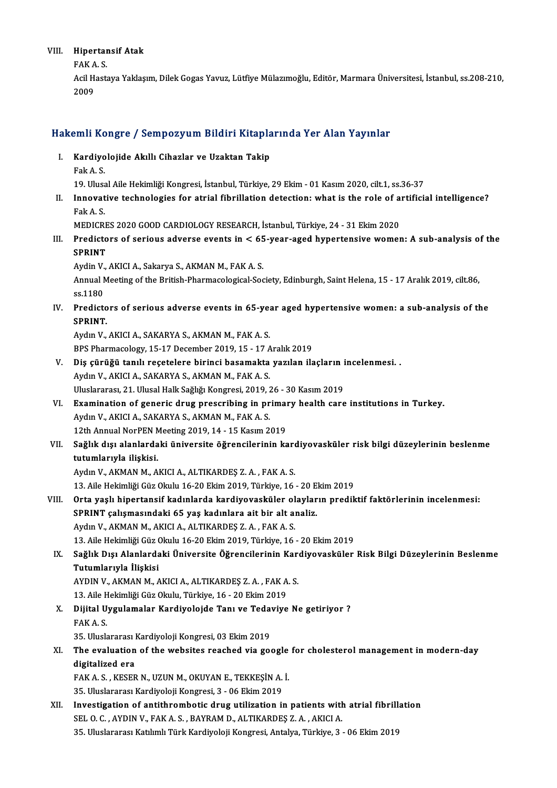## VIII. Hipertansif Atak<br>FAKA S

Hipertar<br>FAK A. S.<br>Asil Hests FAK A S

Acil Hastaya Yaklaşım, Dilek Gogas Yavuz, Lütfiye Mülazımoğlu, Editör, Marmara Üniversitesi, İstanbul, ss.208-210,<br>2009

## <sub>2009</sub><br>Hakemli Kongre / Sempozyum Bildiri Kitaplarında Yer Alan Yayınlar akemli Kongre / Sempozyum Bildiri Kitapla<br>I. Kardiyolojide Akıllı Cihazlar ve Uzaktan Takip

I. Kardiyolojide Akıllı Cihazlar ve Uzaktan Takip<br>Fak A.S. 19.UlusalAileHekimliğiKongresi, İstanbul,Türkiye,29Ekim-01Kasım2020, cilt.1, ss.36-37 Fak A. S.<br>19. Ulusal Aile Hekimliği Kongresi, İstanbul, Türkiye, 29 Ekim - 01 Kasım 2020, cilt.1, ss.36-37<br>II. Innovative technologies for atrial fibrillation detection: what is the role of artificial intelligence?<br>Fak 19. Ulusa<br>Innovat<br>Fak A. S.<br>MEDICP Innovative technologies for atrial fibrillation detection: what is the role of a<br>Fak A. S.<br>MEDICRES 2020 GOOD CARDIOLOGY RESEARCH, İstanbul, Türkiye, 24 - 31 Ekim 2020<br>Predistors of serious adverse events in < 65 year, ase Fak A. S.<br>MEDICRES 2020 GOOD CARDIOLOGY RESEARCH, İstanbul, Türkiye, 24 - 31 Ekim 2020<br>III. Predictors of serious adverse events in < 65-year-aged hypertensive women: A sub-analysis of the<br>SPRINT MEDICRES 2020 GOOD CARDIOLOGY RESEARCH, İstanbul, Türkiye, 24 - 31 Ekim 2020 Aydin V., AKICI A., Sakarya S., AKMAN M., FAK A. S. SPRINT<br>Aydin V., AKICI A., Sakarya S., AKMAN M., FAK A. S.<br>Annual Meeting of the British-Pharmacological-Society, Edinburgh, Saint Helena, 15 - 17 Aralık 2019, cilt.86, Aydin V<br>Annual M<br>ss.1180<br>Predict Annual Meeting of the British-Pharmacological-Society, Edinburgh, Saint Helena, 15 - 17 Aralık 2019, cilt.86,<br>ss.1180<br>IV. Predictors of serious adverse events in 65-year aged hypertensive women: a sub-analysis of the<br>sppIN ss 1180<br>Predicto<br>SPRINT.<br>Avdua V Predictors of serious adverse events in 65-ye.<br>SPRINT.<br>Aydın V., AKICI A., SAKARYA S., AKMAN M., FAK A. S.<br>PPS Pharmaselegy, 15, 17 December 2019, 15, 17, 4 SPRINT.<br>Aydın V., AKICI A., SAKARYA S., AKMAN M., FAK A. S.<br>BPS Pharmacology, 15-17 December 2019, 15 - 17 Aralık 2019 Aydın V., AKICI A., SAKARYA S., AKMAN M., FAK A. S.<br>BPS Pharmacology, 15-17 December 2019, 15 - 17 Aralık 2019<br>V. Diş çürüğü tanılı reçetelere birinci basamakta yazılan ilaçların incelenmesi. .<br>Aydın V. AKICI A. SAKARYA S. Aydın V., AKICI A., SAKARYA S., AKMAN M., FAK A. S. Diş çürüğü tanılı reçetelere birinci basamakta yazılan ilaçların i<br>Aydın V., AKICI A., SAKARYA S., AKMAN M., FAK A. S.<br>Uluslararası, 21. Ulusal Halk Sağlığı Kongresi, 2019, 26 - 30 Kasım 2019<br>Evamination of generis drug pr Aydın V., AKICI A., SAKARYA S., AKMAN M., FAK A. S.<br>Uluslararası, 21. Ulusal Halk Sağlığı Kongresi, 2019, 26 - 30 Kasım 2019<br>VI. Bxamination of generic drug prescribing in primary health care institutions in Turkey.<br>Aydın Uluslararası, 21. Ulusal Halk Sağlığı Kongresi, 2019, 26 - 30 Kasım 2019<br>Examination of generic drug prescribing in primary health care<br>Aydın V., AKICI A., SAKARYA S., AKMAN M., FAK A. S.<br>12th Annual NorPEN Meeting 2019, 1 Examination of generic drug prescribing in primal<br>Aydın V., AKICI A., SAKARYA S., AKMAN M., FAK A. S.<br>12th Annual NorPEN Meeting 2019, 14 - 15 Kasım 2019<br>Seğlik disi alanlardaki üniversite öğrengilerinin ka Aydın V., AKICI A., SAKARYA S., AKMAN M., FAK A. S.<br>12th Annual NorPEN Meeting 2019, 14 - 15 Kasım 2019<br>VII. Sağlık dışı alanlardaki üniversite öğrencilerinin kardiyovasküler risk bilgi düzeylerinin beslenme<br>tutumlarıy 12th Annual NorPEN<br>Sağlık dışı alanlarda<br>tutumlarıyla ilişkisi.<br>Aydın V. AKMAN M. A tutumlarıyla ilişkisi.<br>Aydın V., AKMAN M., AKICI A., ALTIKARDEŞ Z. A. , FAK A. S. 13.AileHekimliğiGüzOkulu 16-20Ekim2019,Türkiye,16 -20Ekim2019 VIII. Orta yaşlı hipertansif kadınlarda kardiyovasküler olayların prediktif faktörlerinin incelenmesi: 13. Aile Hekimliği Güz Okulu 16-20 Ekim 2019, Türkiye, 16 - 20 E<br>Orta yaşlı hipertansif kadınlarda kardiyovasküler olaylar<br>SPRINT çalışmasındaki 65 yaş kadınlara ait bir alt analiz.<br>Ardın V. AKMAN M. AKIÇLA, ALTIKAPDES 7 A Orta yaşlı hipertansif kadınlarda kardiyovasküler ol<br>SPRINT çalışmasındaki 65 yaş kadınlara ait bir alt al<br>Aydın V., AKMAN M., AKICI A., ALTIKARDEŞ Z.A. , FAK A. S.<br>12. Aile Hekimliği Cüz Olarlu 16.20 Ekim 2019 Türkiye 16. Aydın V., AKMAN M., AKICI A., ALTIKARDEŞ Z. A., FAK A. S.<br>13. Aile Hekimliği Güz Okulu 16-20 Ekim 2019, Türkiye, 16 - 20 Ekim 2019 IX. Sağlık Dışı Alanlardaki Üniversite Öğrencilerinin Kardiyovasküler Risk Bilgi Düzeylerinin Beslenme Tutumlarıyla İlişkisi Sağlık Dışı Alanlardaki Üniversite Öğrencilerinin Kar<br>Tutumlarıyla İlişkisi<br>AYDIN V., AKMAN M., AKICI A., ALTIKARDEŞ Z. A. , FAK A. S.<br>12. Aile Hekimliği Cüz Okulu, Türkiye 16., 20 Ekim 2019 <mark>Tutumlarıyla İlişkisi</mark><br>AYDIN V., AKMAN M., AKICI A., ALTIKARDEŞ Z. A. , FAK A<br>13. Aile Hekimliği Güz Okulu, Türkiye, 16 - 20 Ekim 2019<br>Dijital Uygulamalar Kardiyalaide Tanı ve Tadayiye AYDIN V., AKMAN M., AKICI A., ALTIKARDEŞ Z. A. , FAK A. S.<br>13. Aile Hekimliği Güz Okulu, Türkiye, 16 - 20 Ekim 2019<br>X. Dijital Uygulamalar Kardiyolojde Tanı ve Tedaviye Ne getiriyor ?<br>FAK A S 13. Aile Hekimliği Güz Okulu, Türkiye, 16 - 20 Ekim 2019<br>Dijital Uygulamalar Kardiyolojde Tanı ve Tedaviye<br>FAK A. S.<br>35. Uluslararası Kardiyoloji Kongresi, 03 Ekim 2019 Dijital Uygulamalar Kardiyolojde Tanı ve Teda<br>FAK A. S.<br>35. Uluslararası Kardiyoloji Kongresi, 03 Ekim 2019<br>The evaluation of the websites reached via se FAK A. S.<br>35. Uluslararası Kardiyoloji Kongresi, 03 Ekim 2019<br>XI. The evaluation of the websites reached via google for cholesterol management in modern-day<br>digitalized are 35. Uluslararası l<br>The evaluation<br>digitalized era The evaluation of the websites reached via google<br>digitalized era<br>FAK A. S., KESER N., UZUN M., OKUYAN E., TEKKEŞİN A. İ.<br>25 Hurelerarea: Kardiyalaji Kangresi 2, 06 Ekim 2010 digitalized era<br>FAK A. S. , KESER N., UZUN M., OKUYAN E., TEKKEŞİN A. İ.<br>35. Uluslararası Kardiyoloji Kongresi, 3 - 06 Ekim 2019 FAK A. S. , KESER N., UZUN M., OKUYAN E., TEKKEŞİN A. İ.<br>35. Uluslararası Kardiyoloji Kongresi, 3 - 06 Ekim 2019<br>XII. Investigation of antithrombotic drug utilization in patients with atrial fibrillation<br>SEL O. G. AVDIN V. 35. Uluslararası Kardiyoloji Kongresi, 3 - 06 Ekim 2019<br>Investigation of antithrombotic drug utilization in patients with<br>SEL O. C. , AYDIN V., FAK A. S. , BAYRAM D., ALTIKARDEŞ Z. A. , AKICI A.<br>25. Uluslararası Katılımlı Investigation of antithrombotic drug utilization in patients with atrial fibrill<br>SEL O. C. , AYDIN V., FAK A. S. , BAYRAM D., ALTIKARDEȘ Z. A. , AKICI A.<br>35. Uluslararası Katılımlı Türk Kardiyoloji Kongresi, Antalya, Türki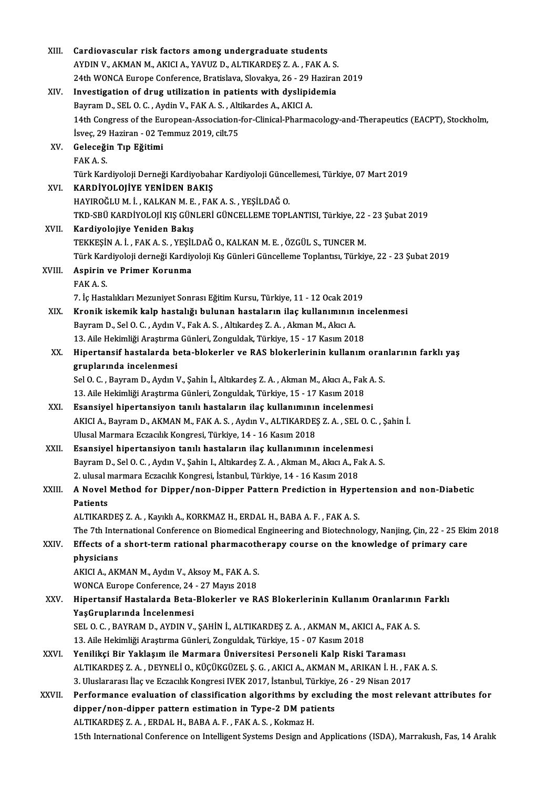| XIII.  | Cardiovascular risk factors among undergraduate students                                                       |
|--------|----------------------------------------------------------------------------------------------------------------|
|        | AYDIN V., AKMAN M., AKICI A., YAVUZ D., ALTIKARDEŞ Z. A., FAK A. S.                                            |
|        | 24th WONCA Europe Conference, Bratislava, Slovakya, 26 - 29 Haziran 2019                                       |
| XIV.   | Investigation of drug utilization in patients with dyslipidemia                                                |
|        | Bayram D., SEL O. C., Aydin V., FAK A. S., Altikardes A., AKICI A.                                             |
|        | 14th Congress of the European-Association-for-Clinical-Pharmacology-and-Therapeutics (EACPT), Stockholm,       |
|        | İsveç, 29 Haziran - 02 Temmuz 2019, cilt.75                                                                    |
| XV.    | Geleceğin Tıp Eğitimi                                                                                          |
|        | FAK A.S.                                                                                                       |
|        | Türk Kardiyoloji Derneği Kardiyobahar Kardiyoloji Güncellemesi, Türkiye, 07 Mart 2019                          |
| XVI.   | KARDİYOLOJİYE YENİDEN BAKIŞ                                                                                    |
|        | HAYIROĞLU M. İ., KALKAN M. E., FAK A. S., YEŞİLDAĞ O.                                                          |
|        | TKD-SBÜ KARDİYOLOJİ KIŞ GÜNLERİ GÜNCELLEME TOPLANTISI, Türkiye, 22 - 23 Şubat 2019                             |
| XVII.  | Kardiyolojiye Yeniden Bakış                                                                                    |
|        | TEKKEŞİN A. İ., FAK A. S., YEŞİLDAĞ O., KALKAN M. E., ÖZGÜL S., TUNCER M.                                      |
|        | Türk Kardiyoloji derneği Kardiyoloji Kış Günleri Güncelleme Toplantısı, Türkiye, 22 - 23 Şubat 2019            |
| XVIII. | Aspirin ve Primer Korunma                                                                                      |
|        | FAK A.S.                                                                                                       |
|        | 7. İç Hastalıkları Mezuniyet Sonrası Eğitim Kursu, Türkiye, 11 - 12 Ocak 2019                                  |
| XIX.   | Kronik iskemik kalp hastalığı bulunan hastaların ilaç kullanımının incelenmesi                                 |
|        | Bayram D., Sel O. C., Aydın V., Fak A. S., Altıkardeş Z. A., Akman M., Akıcı A.                                |
|        | 13. Aile Hekimliği Araştırma Günleri, Zonguldak, Türkiye, 15 - 17 Kasım 2018                                   |
| XX.    | Hipertansif hastalarda beta-blokerler ve RAS blokerlerinin kullanım oranlarının farklı yaş                     |
|        | gruplarında incelenmesi                                                                                        |
|        | Sel O. C., Bayram D., Aydın V., Şahin İ., Altıkardeş Z. A., Akman M., Akıcı A., Fak A. S.                      |
|        | 13. Aile Hekimliği Araştırma Günleri, Zonguldak, Türkiye, 15 - 17 Kasım 2018                                   |
| XXI.   | Esansiyel hipertansiyon tanılı hastaların ilaç kullanımının incelenmesi                                        |
|        | AKICI A., Bayram D., AKMAN M., FAK A. S., Aydın V., ALTIKARDEŞ Z. A., SEL O. C., Şahin İ.                      |
|        | Ulusal Marmara Eczacılık Kongresi, Türkiye, 14 - 16 Kasım 2018                                                 |
| XXII.  | Esansiyel hipertansiyon tanılı hastaların ilaç kullanımının incelenmesi                                        |
|        | Bayram D., Sel O. C., Aydın V., Şahin I., Altıkardeş Z. A., Akman M., Akıcı A., Fak A. S.                      |
|        | 2. ulusal marmara Eczacılık Kongresi, İstanbul, Türkiye, 14 - 16 Kasım 2018                                    |
| XXIII. | A Novel Method for Dipper/non-Dipper Pattern Prediction in Hypertension and non-Diabetic                       |
|        | Patients                                                                                                       |
|        | ALTIKARDEŞ Z. A., Kayıklı A., KORKMAZ H., ERDAL H., BABA A. F., FAK A. S.                                      |
|        | The 7th International Conference on Biomedical Engineering and Biotechnology, Nanjing, Çin, 22 - 25 Ekim 2018  |
| XXIV.  | Effects of a short-term rational pharmacotherapy course on the knowledge of primary care                       |
|        | physicians                                                                                                     |
|        | AKICI A., AKMAN M., Aydın V., Aksoy M., FAK A. S.                                                              |
|        | WONCA Europe Conference, 24 - 27 Mayıs 2018                                                                    |
| XXV.   | Hipertansif Hastalarda Beta-Blokerler ve RAS Blokerlerinin Kullanım Oranlarının Farklı                         |
|        | YaşGruplarında İncelenmesi                                                                                     |
|        | SEL O. C., BAYRAM D., AYDIN V., ŞAHİN İ., ALTIKARDEŞ Z. A., AKMAN M., AKICI A., FAK A. S.                      |
|        | 13. Aile Hekimliği Araştırma Günleri, Zonguldak, Türkiye, 15 - 07 Kasım 2018                                   |
| XXVI.  | Yenilikçi Bir Yaklaşım ile Marmara Üniversitesi Personeli Kalp Riski Taraması                                  |
|        | ALTIKARDEŞ Z. A. , DEYNELİ O., KÜÇÜKGÜZEL Ş. G. , AKICI A., AKMAN M., ARIKAN İ. H. , FAK A. S.                 |
|        | 3. Uluslararası İlaç ve Eczacılık Kongresi IVEK 2017, İstanbul, Türkiye, 26 - 29 Nisan 2017                    |
| XXVII. | Performance evaluation of classification algorithms by excluding the most relevant attributes for              |
|        | dipper/non-dipper pattern estimation in Type-2 DM patients                                                     |
|        | ALTIKARDEŞ Z.A., ERDAL H., BABA A.F., FAK A.S., Kokmaz H.                                                      |
|        | 15th International Conference on Intelligent Systems Design and Applications (ISDA), Marrakush, Fas, 14 Aralık |
|        |                                                                                                                |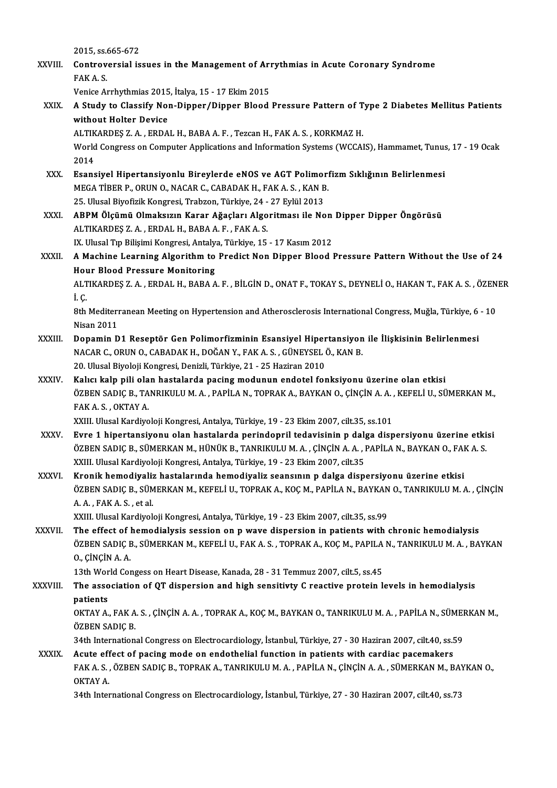|               | 2015, ss 665-672                                                                                                                                                                                                       |
|---------------|------------------------------------------------------------------------------------------------------------------------------------------------------------------------------------------------------------------------|
| XXVIII.       | Controversial issues in the Management of Arrythmias in Acute Coronary Syndrome                                                                                                                                        |
|               | FAK A S                                                                                                                                                                                                                |
|               | Venice Arrhythmias 2015, İtalya, 15 - 17 Ekim 2015                                                                                                                                                                     |
| XXIX.         | A Study to Classify Non-Dipper/Dipper Blood Pressure Pattern of Type 2 Diabetes Mellitus Patients<br>without Holter Device                                                                                             |
|               | ALTIKARDEȘ Z. A., ERDAL H., BABA A. F., Tezcan H., FAK A. S., KORKMAZ H.                                                                                                                                               |
|               | World Congress on Computer Applications and Information Systems (WCCAIS), Hammamet, Tunus, 17 - 19 Ocak<br>2014                                                                                                        |
| XXX.          | Esansiyel Hipertansiyonlu Bireylerde eNOS ve AGT Polimorfizm Sıklığının Belirlenmesi                                                                                                                                   |
|               | MEGA TIBER P., ORUN O., NACAR C., CABADAK H., FAK A. S., KAN B.                                                                                                                                                        |
|               | 25. Ulusal Biyofizik Kongresi, Trabzon, Türkiye, 24 - 27 Eylül 2013                                                                                                                                                    |
| <b>XXXI</b>   | ABPM Ölçümü Olmaksızın Karar Ağaçları Algoritması ile Non Dipper Dipper Öngörüsü<br>ALTIKARDES Z.A., ERDAL H., BABA A.F., FAK A.S.                                                                                     |
|               | IX. Ulusal Tıp Bilişimi Kongresi, Antalya, Türkiye, 15 - 17 Kasım 2012                                                                                                                                                 |
| XXXII.        | A Machine Learning Algorithm to Predict Non Dipper Blood Pressure Pattern Without the Use of 24                                                                                                                        |
|               | <b>Hour Blood Pressure Monitoring</b>                                                                                                                                                                                  |
|               | ALTIKARDEȘ Z. A., ERDAL H., BABA A. F., BİLGİN D., ONAT F., TOKAY S., DEYNELİ O., HAKAN T., FAK A. S., ÖZENER                                                                                                          |
|               | i c                                                                                                                                                                                                                    |
|               | 8th Mediterranean Meeting on Hypertension and Atherosclerosis International Congress, Muğla, Türkiye, 6 - 10                                                                                                           |
|               | <b>Nisan 2011</b>                                                                                                                                                                                                      |
| XXXIII.       | Dopamin D1 Reseptör Gen Polimorfizminin Esansiyel Hipertansiyon ile İlişkisinin Belirlenmesi<br>NACAR C., ORUN O., CABADAK H., DOĞAN Y., FAK A. S., GÜNEYSEL Ö., KAN B.                                                |
|               | 20. Ulusal Biyoloji Kongresi, Denizli, Türkiye, 21 - 25 Haziran 2010                                                                                                                                                   |
| XXXIV.        | Kalıcı kalp pili olan hastalarda pacing modunun endotel fonksiyonu üzerine olan etkisi<br>ÖZBEN SADIÇ B., TANRIKULU M. A., PAPİLA N., TOPRAK A., BAYKAN O., ÇİNÇİN A. A., KEFELİ U., SÜMERKAN M.,<br>FAK A S , OKTAY A |
|               | XXIII. Ulusal Kardiyoloji Kongresi, Antalya, Türkiye, 19 - 23 Ekim 2007, cilt.35, ss.101                                                                                                                               |
| XXXV.         | Evre 1 hipertansiyonu olan hastalarda perindopril tedavisinin p dalga dispersiyonu üzerine etkisi<br>ÖZBEN SADIÇ B., SÜMERKAN M., HÜNÜK B., TANRIKULU M. A., ÇİNÇİN A. A., PAPİLA N., BAYKAN O., FAK A. S.             |
|               | XXIII. Ulusal Kardiyoloji Kongresi, Antalya, Türkiye, 19 - 23 Ekim 2007, cilt.35                                                                                                                                       |
| <b>XXXVI</b>  | Kronik hemodiyaliz hastalarında hemodiyaliz seansının p dalga dispersiyonu üzerine etkisi                                                                                                                              |
|               | ÖZBEN SADIÇ B., SÜMERKAN M., KEFELİ U., TOPRAK A., KOÇ M., PAPİLA N., BAYKAN O., TANRIKULU M. A. , ÇİNÇİN                                                                                                              |
|               | A A , FAK A S , et al.                                                                                                                                                                                                 |
| <b>XXXVII</b> | XXIII. Ulusal Kardiyoloji Kongresi, Antalya, Türkiye, 19 - 23 Ekim 2007, cilt.35, ss.99<br>The effect of hemodialysis session on p wave dispersion in patients with chronic hemodialysis                               |
|               | ÖZBEN SADIÇ B., SÜMERKAN M., KEFELİ U., FAK A. S. , TOPRAK A., KOÇ M., PAPILA N., TANRIKULU M. A. , BAYKAN                                                                                                             |
|               | 0, CINCIN A.A.                                                                                                                                                                                                         |
|               | 13th World Congess on Heart Disease, Kanada, 28 - 31 Temmuz 2007, cilt.5, ss.45                                                                                                                                        |
| XXXVIII.      | The association of QT dispersion and high sensitivty C reactive protein levels in hemodialysis                                                                                                                         |
|               | patients                                                                                                                                                                                                               |
|               | OKTAY A., FAK A. S., ÇİNÇİN A. A., TOPRAK A., KOÇ M., BAYKAN O., TANRIKULU M. A., PAPİLA N., SÜMERKAN M.,<br>ÖZBEN SADIÇ B                                                                                             |
|               | 34th International Congress on Electrocardiology, İstanbul, Türkiye, 27 - 30 Haziran 2007, cilt.40, ss.59                                                                                                              |
| <b>XXXIX</b>  | Acute effect of pacing mode on endothelial function in patients with cardiac pacemakers<br>FAK A. S., ÖZBEN SADIÇ B., TOPRAK A., TANRIKULU M. A., PAPİLA N., ÇİNÇİN A. A., SÜMERKAN M., BAYKAN O.,                     |
|               | OKTAY A.                                                                                                                                                                                                               |
|               | 34th International Congress on Electrocardiology, İstanbul, Türkiye, 27 - 30 Haziran 2007, cilt.40, ss.73                                                                                                              |